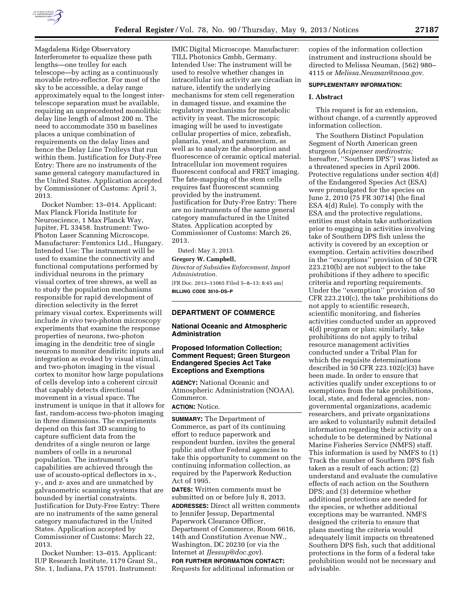

Magdalena Ridge Observatory Interferometer to equalize these path lengths—one trolley for each telescope—by acting as a continuously movable retro-reflector. For most of the sky to be accessible, a delay range approximately equal to the longest intertelescope separation must be available, requiring an unprecedented monolithic delay line length of almost 200 m. The need to accommodate 350 m baselines places a unique combination of requirements on the delay lines and hence the Delay Line Trolleys that run within them. Justification for Duty-Free Entry: There are no instruments of the same general category manufactured in the United States. Application accepted by Commissioner of Customs: April 3, 2013.

Docket Number: 13–014. Applicant: Max Planck Florida Institute for Neuroscience, 1 Max Planck Way, Jupiter, FL 33458. Instrument: Two-Photon Laser Scanning Microscope. Manufacturer: Femtonics Ltd., Hungary. Intended Use: The instrument will be used to examine the connectivity and functional computations performed by individual neurons in the primary visual cortex of tree shrews, as well as to study the population mechanisms responsible for rapid development of direction selectivity in the ferret primary visual cortex. Experiments will include *in vivo* two-photon microscopy experiments that examine the response properties of neurons, two-photon imaging in the dendritic tree of single neurons to monitor dendiritc inputs and integration as evoked by visual stimuli, and two-photon imaging in the visual cortex to monitor how large populations of cells develop into a coherent circuit that capably detects directional movement in a visual space. The instrument is unique in that it allows for fast, random-access two-photon imaging in three dimensions. The experiments depend on this fast 3D scanning to capture sufficient data from the dendrites of a single neuron or large numbers of cells in a neuronal population. The instrument's capabilities are achieved through the use of acousto-optical deflectors in x-, y-, and z- axes and are unmatched by galvanometric scanning systems that are bounded by inertial constraints. Justification for Duty-Free Entry: There are no instruments of the same general category manufactured in the United States. Application accepted by Commissioner of Customs: March 22, 2013.

Docket Number: 13–015. Applicant: IUP Research Institute, 1179 Grant St., Ste. 1, Indiana, PA 15701. Instrument:

IMIC Digital Microscope. Manufacturer: TILL Photonics Gmbh, Germany. Intended Use: The instrument will be used to resolve whether changes in intracellular ion activity are circadian in nature, identify the underlying mechanisms for stem cell regeneration in damaged tissue, and examine the regulatory mechanisms for metabolic activity in yeast. The microscopic imaging will be used to investigate cellular properties of mice, zebrafish, planaria, yeast, and paramecium, as well as to analyze the absorption and fluorescence of ceramic optical material. Intracellular ion movement requires fluorescent confocal and FRET imaging. The fate-mapping of the stem cells requires fast fluorescent scanning provided by the instrument. Justification for Duty-Free Entry: There are no instruments of the same general category manufactured in the United States. Application accepted by Commissioner of Customs: March 26, 2013.

Dated: May 3, 2013.

#### **Gregory W. Campbell,**

*Director of Subsidies Enforcement, Import Administration.* 

[FR Doc. 2013–11065 Filed 5–8–13; 8:45 am] **BILLING CODE 3510–DS–P** 

# **DEPARTMENT OF COMMERCE**

# **National Oceanic and Atmospheric Administration**

# **Proposed Information Collection; Comment Request; Green Sturgeon Endangered Species Act Take Exceptions and Exemptions**

**AGENCY:** National Oceanic and Atmospheric Administration (NOAA), Commerce. **ACTION:** Notice.

**SUMMARY:** The Department of Commerce, as part of its continuing effort to reduce paperwork and respondent burden, invites the general public and other Federal agencies to take this opportunity to comment on the continuing information collection, as required by the Paperwork Reduction Act of 1995.

**DATES:** Written comments must be submitted on or before July 8, 2013. **ADDRESSES:** Direct all written comments to Jennifer Jessup, Departmental Paperwork Clearance Officer, Department of Commerce, Room 6616, 14th and Constitution Avenue NW., Washington, DC 20230 (or via the Internet at *[JJessup@doc.gov](mailto:JJessup@doc.gov)*). **FOR FURTHER INFORMATION CONTACT:** 

Requests for additional information or

copies of the information collection instrument and instructions should be directed to Melissa Neuman, (562) 980– 4115 or *[Melissa.Neuman@noaa.gov.](mailto:Melissa.Neuman@noaa.gov)* 

### **SUPPLEMENTARY INFORMATION:**

#### **I. Abstract**

This request is for an extension, without change, of a currently approved information collection.

The Southern Distinct Population Segment of North American green sturgeon (*Acipenser medirostris;*  hereafter, ''Southern DPS'') was listed as a threatened species in April 2006. Protective regulations under section 4(d) of the Endangered Species Act (ESA) were promulgated for the species on June 2, 2010 (75 FR 30714) (the final ESA 4(d) Rule). To comply with the ESA and the protective regulations, entities must obtain take authorization prior to engaging in activities involving take of Southern DPS fish unless the activity is covered by an exception or exemption. Certain activities described in the ''exceptions'' provision of 50 CFR 223.210(b) are not subject to the take prohibitions if they adhere to specific criteria and reporting requirements. Under the ''exemption'' provision of 50 CFR 223.210(c), the take prohibitions do not apply to scientific research, scientific monitoring, and fisheries activities conducted under an approved 4(d) program or plan; similarly, take prohibitions do not apply to tribal resource management activities conducted under a Tribal Plan for which the requisite determinations described in 50 CFR 223.102(c)(3) have been made. In order to ensure that activities qualify under exceptions to or exemptions from the take prohibitions, local, state, and federal agencies, nongovernmental organizations, academic researchers, and private organizations are asked to voluntarily submit detailed information regarding their activity on a schedule to be determined by National Marine Fisheries Service (NMFS) staff. This information is used by NMFS to (1) Track the number of Southern DPS fish taken as a result of each action; (2) understand and evaluate the cumulative effects of each action on the Southern DPS; and (3) determine whether additional protections are needed for the species, or whether additional exceptions may be warranted. NMFS designed the criteria to ensure that plans meeting the criteria would adequately limit impacts on threatened Southern DPS fish, such that additional protections in the form of a federal take prohibition would not be necessary and advisable.